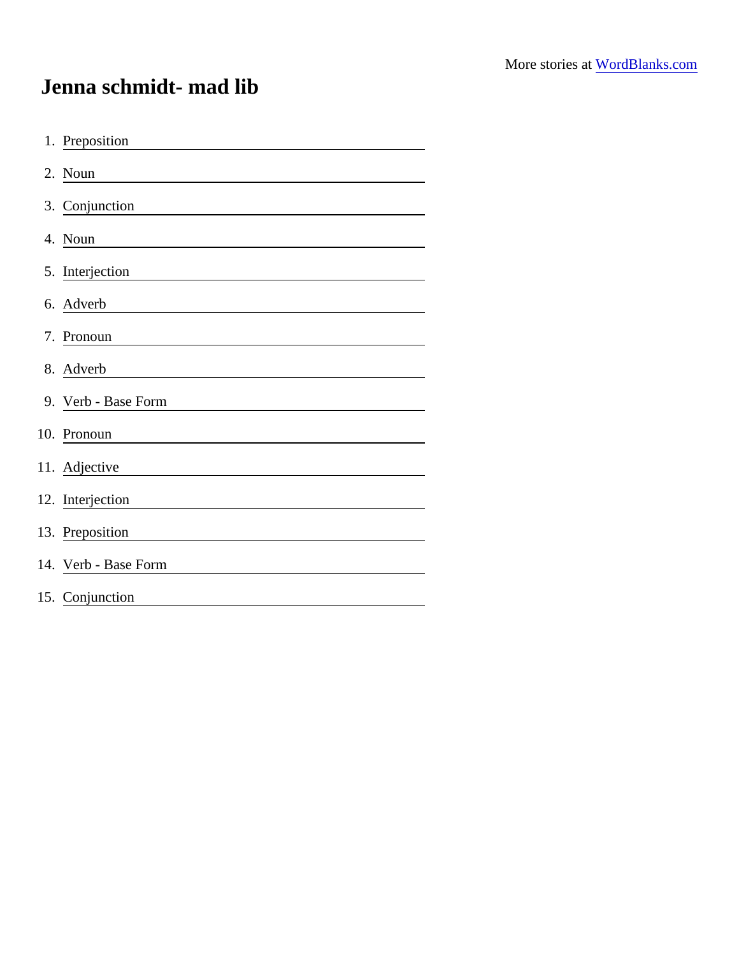## Jenna schmidt- mad lib

| 1. Preposition       |
|----------------------|
| 2. Noun              |
| 3. Conjunction       |
| 4. Noun              |
| 5. Interjection      |
| 6. Adverb            |
| 7. Pronoun           |
| 8. Adverb            |
| 9. Verb - Base Form  |
| 10. Pronoun          |
| 11. Adjective        |
| 12. Interjection     |
| 13. Preposition      |
| 14. Verb - Base Form |
| 15. Conjunction      |